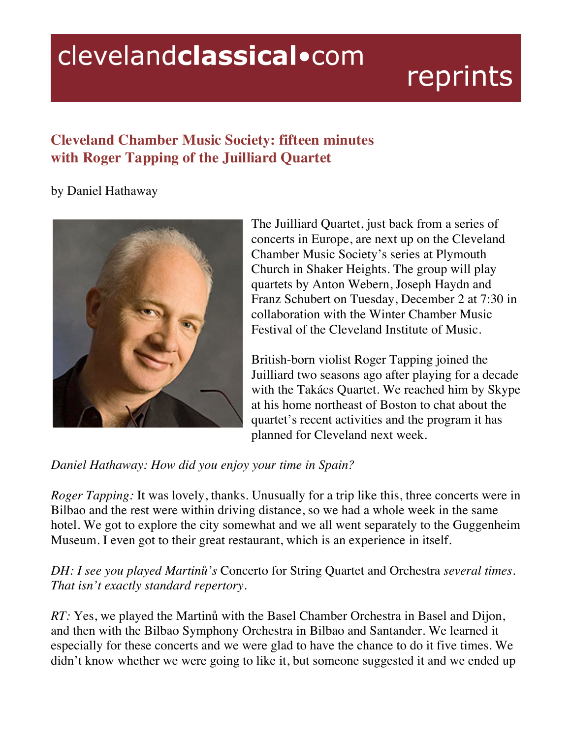# clevelandclassical.com

# reprints

# **Cleveland Chamber Music Society: fifteen minutes with Roger Tapping of the Juilliard Quartet**

## by Daniel Hathaway



The Juilliard Quartet, just back from a series of concerts in Europe, are next up on the Cleveland Chamber Music Society's series at Plymouth Church in Shaker Heights. The group will play quartets by Anton Webern, Joseph Haydn and Franz Schubert on Tuesday, December 2 at 7:30 in collaboration with the Winter Chamber Music Festival of the Cleveland Institute of Music.

British-born violist Roger Tapping joined the Juilliard two seasons ago after playing for a decade with the Takács Quartet. We reached him by Skype at his home northeast of Boston to chat about the quartet's recent activities and the program it has planned for Cleveland next week.

*Daniel Hathaway: How did you enjoy your time in Spain?*

*Roger Tapping:* It was lovely, thanks. Unusually for a trip like this, three concerts were in Bilbao and the rest were within driving distance, so we had a whole week in the same hotel. We got to explore the city somewhat and we all went separately to the Guggenheim Museum. I even got to their great restaurant, which is an experience in itself.

*DH: I see you played Martinů's* Concerto for String Quartet and Orchestra *several times. That isn't exactly standard repertory.*

*RT:* Yes, we played the Martinů with the Basel Chamber Orchestra in Basel and Dijon, and then with the Bilbao Symphony Orchestra in Bilbao and Santander. We learned it especially for these concerts and we were glad to have the chance to do it five times. We didn't know whether we were going to like it, but someone suggested it and we ended up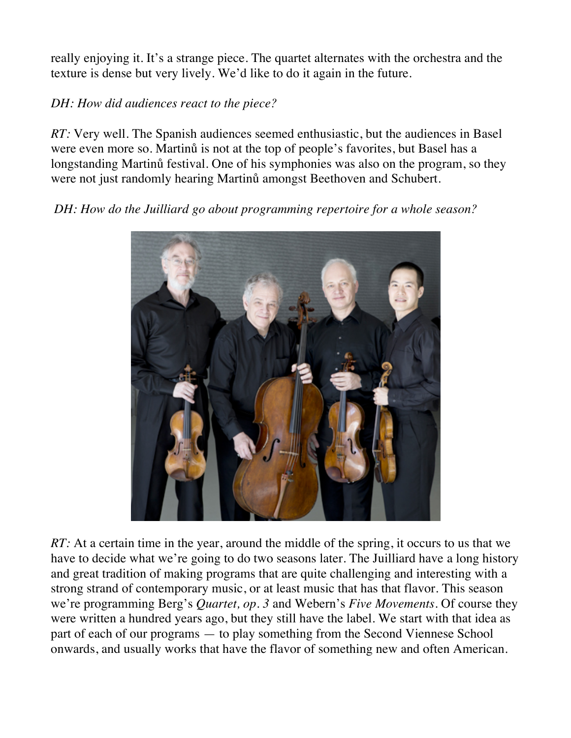really enjoying it. It's a strange piece. The quartet alternates with the orchestra and the texture is dense but very lively. We'd like to do it again in the future.

#### *DH: How did audiences react to the piece?*

*RT*: Very well. The Spanish audiences seemed enthusiastic, but the audiences in Basel were even more so. Martinů is not at the top of people's favorites, but Basel has a longstanding Martinů festival. One of his symphonies was also on the program, so they were not just randomly hearing Martinů amongst Beethoven and Schubert.

*DH: How do the Juilliard go about programming repertoire for a whole season?*



*RT*: At a certain time in the year, around the middle of the spring, it occurs to us that we have to decide what we're going to do two seasons later. The Juilliard have a long history and great tradition of making programs that are quite challenging and interesting with a strong strand of contemporary music, or at least music that has that flavor. This season we're programming Berg's *Quartet, op. 3* and Webern's *Five Movements.* Of course they were written a hundred years ago, but they still have the label. We start with that idea as part of each of our programs — to play something from the Second Viennese School onwards, and usually works that have the flavor of something new and often American.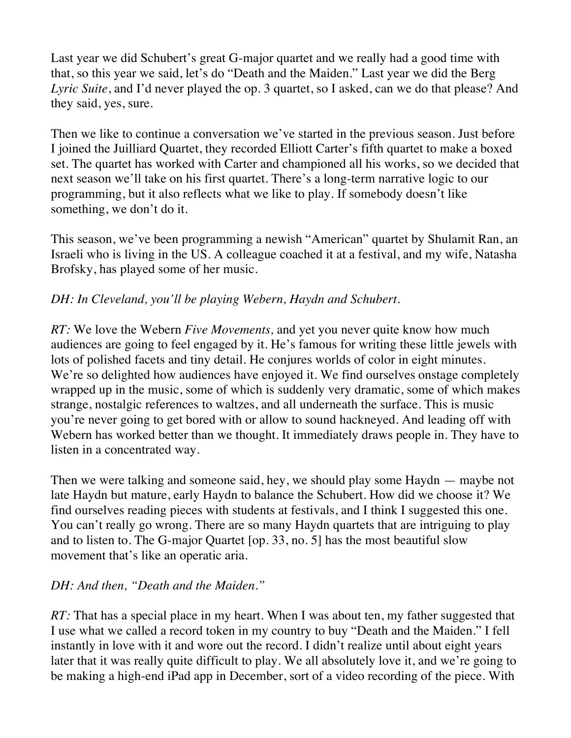Last year we did Schubert's great G-major quartet and we really had a good time with that, so this year we said, let's do "Death and the Maiden." Last year we did the Berg *Lyric Suite*, and I'd never played the op. 3 quartet, so I asked, can we do that please? And they said, yes, sure.

Then we like to continue a conversation we've started in the previous season. Just before I joined the Juilliard Quartet, they recorded Elliott Carter's fifth quartet to make a boxed set. The quartet has worked with Carter and championed all his works, so we decided that next season we'll take on his first quartet. There's a long-term narrative logic to our programming, but it also reflects what we like to play. If somebody doesn't like something, we don't do it.

This season, we've been programming a newish "American" quartet by Shulamit Ran, an Israeli who is living in the US. A colleague coached it at a festival, and my wife, Natasha Brofsky, has played some of her music.

#### *DH: In Cleveland, you'll be playing Webern, Haydn and Schubert.*

*RT:* We love the Webern *Five Movements,* and yet you never quite know how much audiences are going to feel engaged by it. He's famous for writing these little jewels with lots of polished facets and tiny detail. He conjures worlds of color in eight minutes. We're so delighted how audiences have enjoyed it. We find ourselves onstage completely wrapped up in the music, some of which is suddenly very dramatic, some of which makes strange, nostalgic references to waltzes, and all underneath the surface. This is music you're never going to get bored with or allow to sound hackneyed. And leading off with Webern has worked better than we thought. It immediately draws people in. They have to listen in a concentrated way.

Then we were talking and someone said, hey, we should play some Haydn — maybe not late Haydn but mature, early Haydn to balance the Schubert. How did we choose it? We find ourselves reading pieces with students at festivals, and I think I suggested this one. You can't really go wrong. There are so many Haydn quartets that are intriguing to play and to listen to. The G-major Quartet [op. 33, no. 5] has the most beautiful slow movement that's like an operatic aria.

# *DH: And then, "Death and the Maiden."*

*RT*: That has a special place in my heart. When I was about ten, my father suggested that I use what we called a record token in my country to buy "Death and the Maiden." I fell instantly in love with it and wore out the record. I didn't realize until about eight years later that it was really quite difficult to play. We all absolutely love it, and we're going to be making a high-end iPad app in December, sort of a video recording of the piece. With